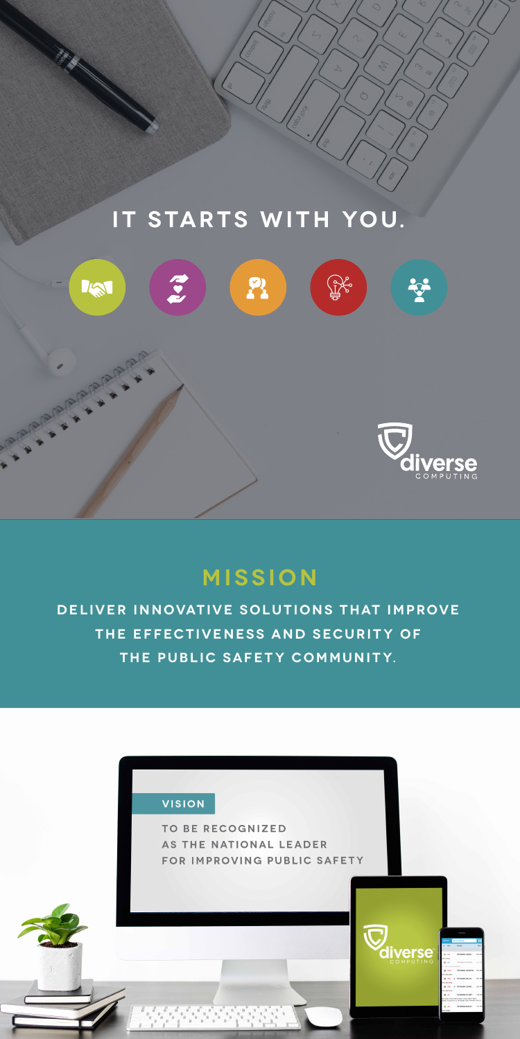

# **Mission**

**Deliver innovative solutions that improve the effectiveness and security of**  THE PUBLIC SAFETY COMMUNITY.



TO BE RECOGNIZED AS THE NATIONAL LEADER FOR IMPROVING PUBLIC SAFETY